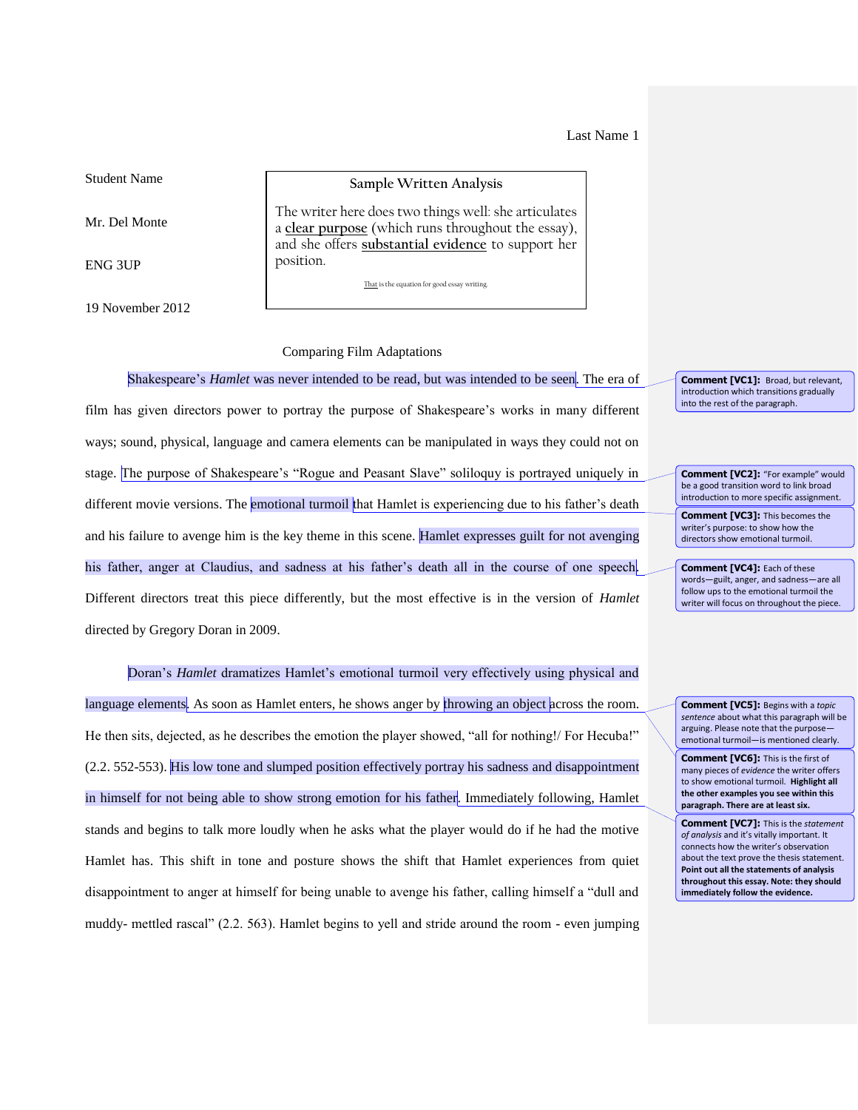Last Name 1

Student Name

Mr. Del Monte

ENG 3UP

19 November 2012

## **Sample Written Analysis**

The writer here does two things well: she articulates a **clear purpose** (which runs throughout the essay), and she offers **substantial evidence** to support her position.

That is the equation for good essay writing.

## Comparing Film Adaptations

Shakespeare's *Hamlet* was never intended to be read, but was intended to be seen. The era of film has given directors power to portray the purpose of Shakespeare's works in many different ways; sound, physical, language and camera elements can be manipulated in ways they could not on stage. The purpose of Shakespeare's "Rogue and Peasant Slave" soliloquy is portrayed uniquely in different movie versions. The emotional turmoil that Hamlet is experiencing due to his father's death and his failure to avenge him is the key theme in this scene. Hamlet expresses guilt for not avenging his father, anger at Claudius, and sadness at his father's death all in the course of one speech. Different directors treat this piece differently, but the most effective is in the version of *Hamlet* directed by Gregory Doran in 2009.

Doran's *Hamlet* dramatizes Hamlet's emotional turmoil very effectively using physical and language elements. As soon as Hamlet enters, he shows anger by throwing an object across the room. He then sits, dejected, as he describes the emotion the player showed, "all for nothing!/ For Hecuba!" (2.2. 552-553). His low tone and slumped position effectively portray his sadness and disappointment in himself for not being able to show strong emotion for his father. Immediately following, Hamlet stands and begins to talk more loudly when he asks what the player would do if he had the motive Hamlet has. This shift in tone and posture shows the shift that Hamlet experiences from quiet disappointment to anger at himself for being unable to avenge his father, calling himself a "dull and muddy- mettled rascal" (2.2. 563). Hamlet begins to yell and stride around the room - even jumping

**Comment [VC1]:** Broad, but relevant, introduction which transitions gradually into the rest of the paragraph.

**Comment [VC2]:** "For example" would be a good transition word to link broad introduction to more specific assignment.

**Comment [VC3]:** This becomes the writer's purpose: to show how the directors show emotional turmoil.

**Comment [VC4]:** Each of these words—guilt, anger, and sadness—are all follow ups to the emotional turmoil the writer will focus on throughout the piece.

**Comment [VC5]:** Begins with a *topic sentence* about what this paragraph will be arguing. Please note that the purpose emotional turmoil—is mentioned clearly.

**Comment [VC6]:** This is the first of many pieces of *evidence* the writer offers to show emotional turmoil. **Highlight all the other examples you see within this paragraph. There are at least six.** 

**Comment [VC7]:** This is the *statement of analysis* and it's vitally important. It connects how the writer's observation about the text prove the thesis statement. **Point out all the statements of analysis throughout this essay. Note: they should immediately follow the evidence.**